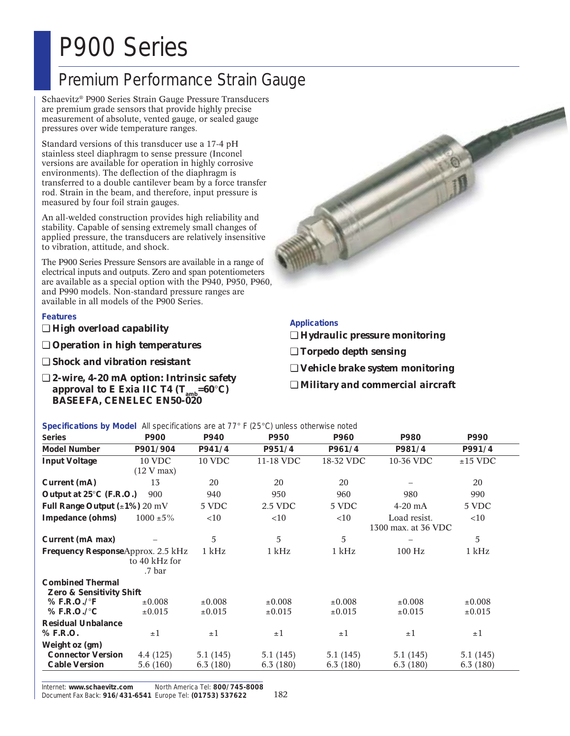## P900 Series

## Premium Performance Strain Gauge

Schaevitz® P900 Series Strain Gauge Pressure Transducers are premium grade sensors that provide highly precise measurement of absolute, vented gauge, or sealed gauge pressures over wide temperature ranges.

Standard versions of this transducer use a 17-4 pH stainless steel diaphragm to sense pressure (Inconel versions are available for operation in highly corrosive environments). The deflection of the diaphragm is transferred to a double cantilever beam by a force transfer rod. Strain in the beam, and therefore, input pressure is measured by four foil strain gauges.

An all-welded construction provides high reliability and stability. Capable of sensing extremely small changes of applied pressure, the transducers are relatively insensitive to vibration, attitude, and shock.

The P900 Series Pressure Sensors are available in a range of electrical inputs and outputs. Zero and span potentiometers are available as a special option with the P940, P950, P960, and P990 models. Non-standard pressure ranges are available in all models of the P900 Series.

### **Features**

- ❏ *High overload capability*
- ❏ *Operation in high temperatures*
- ❏ *Shock and vibration resistant*
- ❏ *2-wire, 4-20 mA option: Intrinsic safety approval to E Exia IIC T4*  $(T_{amb}=60^{\circ}C)$ *BASEEFA, CENELEC EN50-020*



### **Applications**

- ❏ *Hydraulic pressure monitoring*
- ❏ *Torpedo depth sensing*
- ❏ *Vehicle brake system monitoring*
- ❏ *Military and commercial aircraft*

**Specifications by Model** All specifications are at 77° F (25°C) unless otherwise noted

| <b>Series</b>                                                  | P900                    | P940          | P950        | P960        | P980                | P990        |
|----------------------------------------------------------------|-------------------------|---------------|-------------|-------------|---------------------|-------------|
| <b>Model Number</b>                                            | P901/904                | P941/4        | P951/4      | P961/4      | P981/4              | P991/4      |
| <b>Input Voltage</b>                                           | <b>10 VDC</b>           | <b>10 VDC</b> | 11-18 VDC   | 18-32 VDC   | 10-36 VDC           | $±15$ VDC   |
|                                                                | (12 V max)              |               |             |             |                     |             |
| Current (mA)                                                   | 13                      | 20            | 20          | 20          |                     | 20          |
| Output at 25°C (F.R.O.)                                        | 900                     | 940           | 950         | 960         | 980                 | 990         |
| Full Range Output $(\pm 1\%)$ 20 mV                            |                         | 5 VDC         | 2.5 VDC     | 5 VDC       | $4-20$ mA           | 5 VDC       |
| <b>Impedance (ohms)</b>                                        | $1000 \pm 5\%$          | $<$ 10        | <10         | $<$ 10      | Load resist.        | <10         |
|                                                                |                         |               |             |             | 1300 max. at 36 VDC |             |
| <b>Current (mA max)</b>                                        |                         | 5             | 5           | 5           |                     | 5           |
| <b>Frequency Response</b> Approx. 2.5 kHz                      |                         | 1 kHz         | 1 kHz       | 1 kHz       | 100 Hz              | 1 kHz       |
|                                                                | to 40 kHz for<br>.7 bar |               |             |             |                     |             |
| <b>Combined Thermal</b><br><b>Zero &amp; Sensitivity Shift</b> |                         |               |             |             |                     |             |
| $%$ F.R.O./ $\degree$ F                                        | $\pm 0.008$             | $\pm 0.008$   | $\pm 0.008$ | $\pm 0.008$ | $\pm 0.008$         | $\pm 0.008$ |
| % F.R.O./ $\mathrm{C}$                                         | $\pm 0.015$             | $\pm 0.015$   | $\pm 0.015$ | $\pm 0.015$ | $\pm 0.015$         | $\pm 0.015$ |
| <b>Residual Unbalance</b>                                      |                         |               |             |             |                     |             |
| % F.R.O.                                                       | $\pm 1$                 | $\pm 1$       | $\pm 1$     | $\pm 1$     | $\pm 1$             | $\pm 1$     |
| Weight oz (gm)                                                 |                         |               |             |             |                     |             |
| <b>Connector Version</b>                                       | 4.4 (125)               | 5.1(145)      | 5.1(145)    | 5.1(145)    | 5.1(145)            | 5.1(145)    |
| <b>Cable Version</b>                                           | 5.6(160)                | 6.3(180)      | 6.3(180)    | 6.3(180)    | 6.3(180)            | 6.3(180)    |

Internet: **www.schaevitz.com** North America Tel: **800/745-8008** Document Fax Back: **916/431-6541** Europe Tel: **(01753) 537622**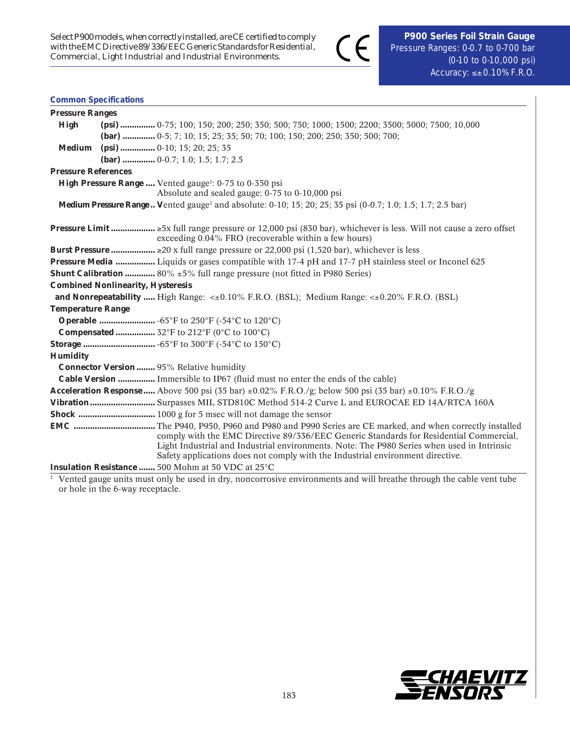$\epsilon$ 

### **Common Specifications**

| <b>Pressure Ranges</b>     |                                                                                                                                                                                                                                                                        |  |  |  |  |  |
|----------------------------|------------------------------------------------------------------------------------------------------------------------------------------------------------------------------------------------------------------------------------------------------------------------|--|--|--|--|--|
| <b>High</b>                | (psi)  0-75; 100; 150; 200; 250; 350; 500; 750; 1000; 1500; 2200; 3500; 5000; 7500; 10,000                                                                                                                                                                             |  |  |  |  |  |
|                            | (bar)  0-5; 7; 10; 15; 25; 35; 50; 70; 100; 150; 200; 250; 350; 500; 700;                                                                                                                                                                                              |  |  |  |  |  |
| <b>Medium</b>              | $(psi)$ 0-10; 15; 20; 25; 35                                                                                                                                                                                                                                           |  |  |  |  |  |
|                            | (bar)  0-0.7; 1.0; 1.5; 1.7; 2.5                                                                                                                                                                                                                                       |  |  |  |  |  |
| <b>Pressure References</b> |                                                                                                                                                                                                                                                                        |  |  |  |  |  |
|                            | High Pressure Range  Vented gauge <sup>1</sup> : 0-75 to 0-350 psi                                                                                                                                                                                                     |  |  |  |  |  |
|                            | Absolute and sealed gauge: 0-75 to 0-10,000 psi                                                                                                                                                                                                                        |  |  |  |  |  |
|                            | <b>Medium Pressure Range</b> Vented gauge <sup>1</sup> and absolute: 0-10; 15; 20; 25; 35 psi (0-0.7; 1.0; 1.5; 1.7; 2.5 bar)                                                                                                                                          |  |  |  |  |  |
|                            | <b>Pressure Limit </b> $\geq$ 5x full range pressure or 12,000 psi (830 bar), whichever is less. Will not cause a zero offset<br>exceeding 0.04% FRO (recoverable within a few hours)                                                                                  |  |  |  |  |  |
|                            | <b>Burst Pressure </b> $\geq$ 20 x full range pressure or 22,000 psi (1,520 bar), whichever is less                                                                                                                                                                    |  |  |  |  |  |
|                            | Pressure Media  Liquids or gases compatible with 17-4 pH and 17-7 pH stainless steel or Inconel 625                                                                                                                                                                    |  |  |  |  |  |
|                            | <b>Shunt Calibration </b> 80% $\pm 5\%$ full range pressure (not fitted in P980 Series)                                                                                                                                                                                |  |  |  |  |  |
|                            | <b>Combined Nonlinearity, Hysteresis</b>                                                                                                                                                                                                                               |  |  |  |  |  |
|                            | and Nonrepeatability  High Range: $\lt\pm 0.10\%$ F.R.O. (BSL); Medium Range: $\lt\pm 0.20\%$ F.R.O. (BSL)                                                                                                                                                             |  |  |  |  |  |
| <b>Temperature Range</b>   |                                                                                                                                                                                                                                                                        |  |  |  |  |  |
|                            | <b>Operable </b> -65°F to 250°F (-54°C to 120°C)                                                                                                                                                                                                                       |  |  |  |  |  |
|                            | <b>Compensated </b> 32°F to 212°F (0°C to 100°C)                                                                                                                                                                                                                       |  |  |  |  |  |
|                            |                                                                                                                                                                                                                                                                        |  |  |  |  |  |
| <b>Humidity</b>            |                                                                                                                                                                                                                                                                        |  |  |  |  |  |
|                            | <b>Connector Version </b> 95% Relative humidity                                                                                                                                                                                                                        |  |  |  |  |  |
|                            | <b>Cable Version </b> Immersible to IP67 (fluid must no enter the ends of the cable)                                                                                                                                                                                   |  |  |  |  |  |
|                            | <b>Acceleration Response</b> Above 500 psi (35 bar) $\pm 0.02\%$ F.R.O./g; below 500 psi (35 bar) $\pm 0.10\%$ F.R.O./g                                                                                                                                                |  |  |  |  |  |
|                            | Vibration Surpasses MIL STD810C Method 514-2 Curve L and EUROCAE ED 14A/RTCA 160A                                                                                                                                                                                      |  |  |  |  |  |
|                            |                                                                                                                                                                                                                                                                        |  |  |  |  |  |
|                            | comply with the EMC Directive 89/336/EEC Generic Standards for Residential Commercial,<br>Light Industrial and Industrial environments. Note: The P980 Series when used in Intrinsic<br>Safety applications does not comply with the Industrial environment directive. |  |  |  |  |  |
|                            | Insulation Resistance  500 Mohm at 50 VDC at 25°C                                                                                                                                                                                                                      |  |  |  |  |  |

<sup>1</sup> Vented gauge units must only be used in dry, noncorrosive environments and will breathe through the cable vent tube or hole in the 6-way receptacle.

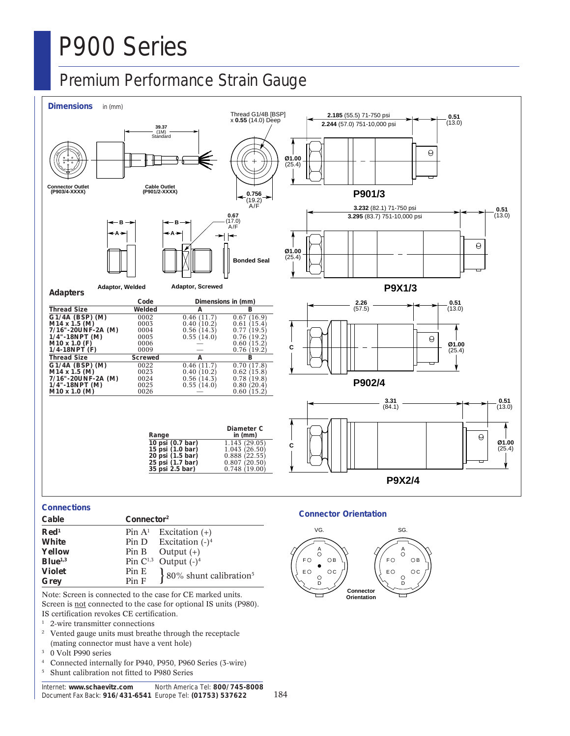# P900 Series

### Premium Performance Strain Gauge



### **Connections**

| Cable               | Connector <sup>2</sup> |                                    |  |
|---------------------|------------------------|------------------------------------|--|
| $\mathbf{Red}^1$    |                        | Pin $A^1$ Excitation (+)           |  |
| <b>White</b>        |                        | Pin D Excitation $(-)^4$           |  |
| Yellow              |                        | Pin B Output $(+)$                 |  |
| Blue <sup>1,3</sup> |                        | Pin $C^{1,3}$ Output $(-)^4$       |  |
| <b>Violet</b>       | Pin E                  | 80% shunt calibration <sup>5</sup> |  |
| Grey                | Pin F                  |                                    |  |

Note: Screen is connected to the case for CE marked units. Screen is not connected to the case for optional IS units (P980). IS certification revokes CE certification.

- <sup>1</sup> 2-wire transmitter connections<br><sup>2</sup> Vented gauge units must breath
- Vented gauge units must breathe through the receptacle (mating connector must have a vent hole)
- <sup>3</sup> 0 Volt P990 series
- <sup>4</sup> Connected internally for P940, P950, P960 Series (3-wire)
- <sup>5</sup> Shunt calibration not fitted to P980 Series

#### Internet: **www.schaevitz.com** North America Tel: **800/745-8008** Document Fax Back: **916/431-6541** Europe Tel: **(01753) 537622**

### **Connector Orientation**